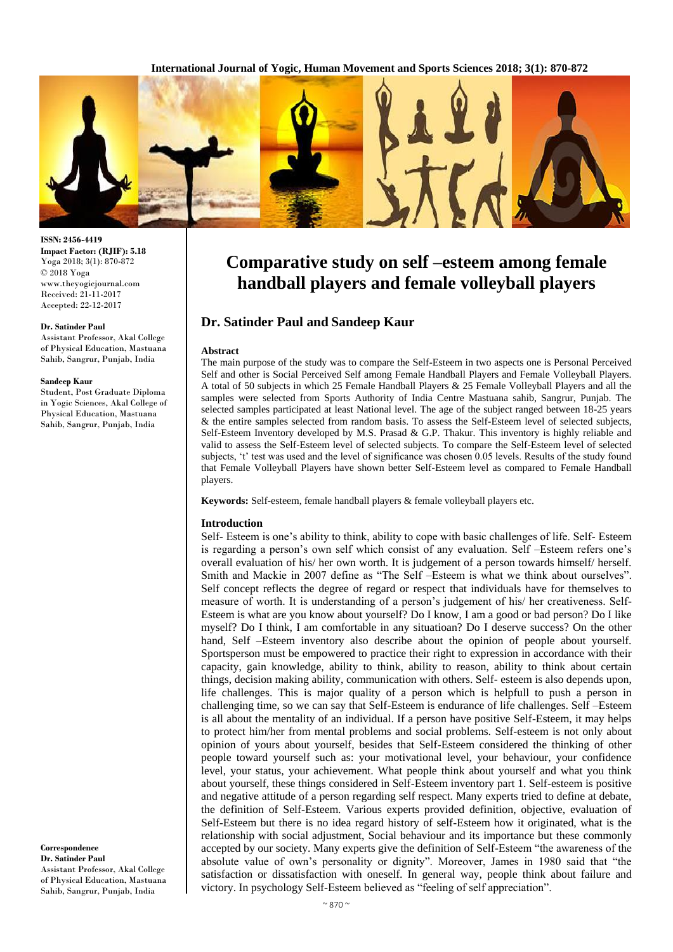**International Journal of Yogic, Human Movement and Sports Sciences 2018; 3(1): 870-872**



# **Comparative study on self –esteem among female handball players and female volleyball players**

# **Dr. Satinder Paul and Sandeep Kaur**

#### **Abstract**

The main purpose of the study was to compare the Self-Esteem in two aspects one is Personal Perceived Self and other is Social Perceived Self among Female Handball Players and Female Volleyball Players. A total of 50 subjects in which 25 Female Handball Players & 25 Female Volleyball Players and all the samples were selected from Sports Authority of India Centre Mastuana sahib, Sangrur, Punjab. The selected samples participated at least National level. The age of the subject ranged between 18-25 years & the entire samples selected from random basis. To assess the Self-Esteem level of selected subjects, Self-Esteem Inventory developed by M.S. Prasad & G.P. Thakur. This inventory is highly reliable and valid to assess the Self-Esteem level of selected subjects. To compare the Self-Esteem level of selected subjects, 't' test was used and the level of significance was chosen 0.05 levels. Results of the study found that Female Volleyball Players have shown better Self-Esteem level as compared to Female Handball players.

**Keywords:** Self-esteem, female handball players & female volleyball players etc.

## **Introduction**

Self- Esteem is one's ability to think, ability to cope with basic challenges of life. Self- Esteem is regarding a person's own self which consist of any evaluation. Self –Esteem refers one's overall evaluation of his/ her own worth. It is judgement of a person towards himself/ herself. Smith and Mackie in 2007 define as "The Self –Esteem is what we think about ourselves". Self concept reflects the degree of regard or respect that individuals have for themselves to measure of worth. It is understanding of a person's judgement of his/ her creativeness. Self-Esteem is what are you know about yourself? Do I know, I am a good or bad person? Do I like myself? Do I think, I am comfortable in any situatioan? Do I deserve success? On the other hand, Self –Esteem inventory also describe about the opinion of people about yourself. Sportsperson must be empowered to practice their right to expression in accordance with their capacity, gain knowledge, ability to think, ability to reason, ability to think about certain things, decision making ability, communication with others. Self- esteem is also depends upon, life challenges. This is major quality of a person which is helpfull to push a person in challenging time, so we can say that Self-Esteem is endurance of life challenges. Self –Esteem is all about the mentality of an individual. If a person have positive Self-Esteem, it may helps to protect him/her from mental problems and social problems. Self-esteem is not only about opinion of yours about yourself, besides that Self-Esteem considered the thinking of other people toward yourself such as: your motivational level, your behaviour, your confidence level, your status, your achievement. What people think about yourself and what you think about yourself, these things considered in Self-Esteem inventory part 1. Self-esteem is positive and negative attitude of a person regarding self respect. Many experts tried to define at debate, the definition of Self-Esteem. Various experts provided definition, objective, evaluation of Self-Esteem but there is no idea regard history of self-Esteem how it originated, what is the relationship with social adjustment, Social behaviour and its importance but these commonly accepted by our society. Many experts give the definition of Self-Esteem "the awareness of the absolute value of own's personality or dignity". Moreover, James in 1980 said that "the satisfaction or dissatisfaction with oneself. In general way, people think about failure and victory. In psychology Self-Esteem believed as "feeling of self appreciation".

**ISSN: 2456-4419 Impact Factor: (RJIF): 5.18** Yoga 2018; 3(1): 870-872 © 2018 Yoga www.theyogicjournal.com Received: 21-11-2017 Accepted: 22-12-2017

#### **Dr. Satinder Paul**

Assistant Professor, Akal College of Physical Education, Mastuana Sahib, Sangrur, Punjab, India

#### **Sandeep Kaur**

Student, Post Graduate Diploma in Yogic Sciences, Akal College of Physical Education, Mastuana Sahib, Sangrur, Punjab, India

**Correspondence Dr. Satinder Paul** Assistant Professor, Akal College of Physical Education, Mastuana Sahib, Sangrur, Punjab, India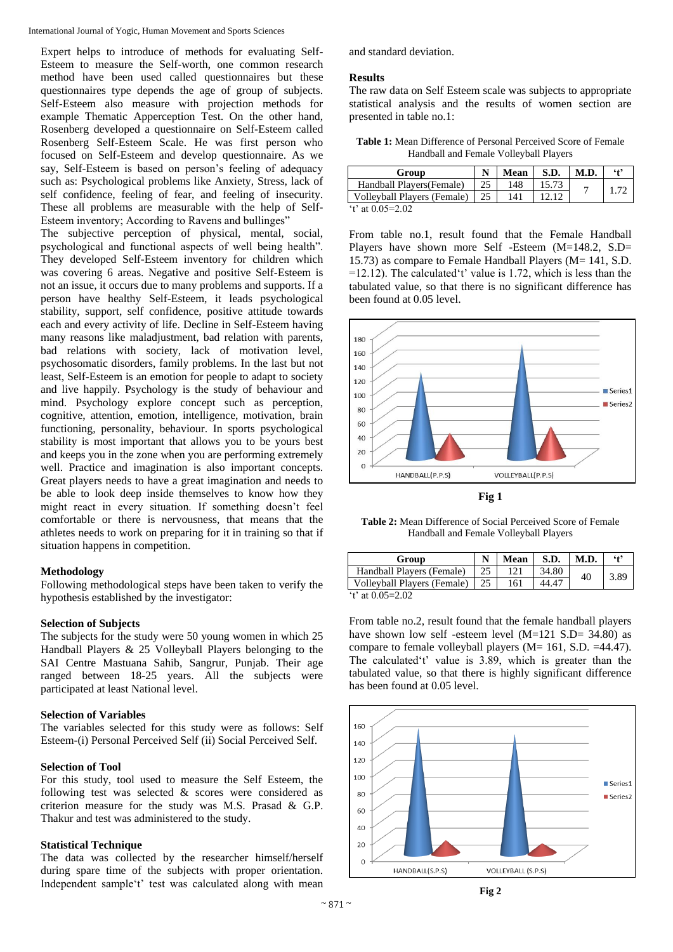Expert helps to introduce of methods for evaluating Self-Esteem to measure the Self-worth, one common research method have been used called questionnaires but these questionnaires type depends the age of group of subjects. Self-Esteem also measure with projection methods for example Thematic Apperception Test. On the other hand, Rosenberg developed a questionnaire on Self-Esteem called Rosenberg Self-Esteem Scale. He was first person who focused on Self-Esteem and develop questionnaire. As we say, Self-Esteem is based on person's feeling of adequacy such as: Psychological problems like Anxiety, Stress, lack of self confidence, feeling of fear, and feeling of insecurity. These all problems are measurable with the help of Self-Esteem inventory; According to Ravens and bullinges"

The subjective perception of physical, mental, social, psychological and functional aspects of well being health". They developed Self-Esteem inventory for children which was covering 6 areas. Negative and positive Self-Esteem is not an issue, it occurs due to many problems and supports. If a person have healthy Self-Esteem, it leads psychological stability, support, self confidence, positive attitude towards each and every activity of life. Decline in Self-Esteem having many reasons like maladjustment, bad relation with parents, bad relations with society, lack of motivation level, psychosomatic disorders, family problems. In the last but not least, Self-Esteem is an emotion for people to adapt to society and live happily. Psychology is the study of behaviour and mind. Psychology explore concept such as perception, cognitive, attention, emotion, intelligence, motivation, brain functioning, personality, behaviour. In sports psychological stability is most important that allows you to be yours best and keeps you in the zone when you are performing extremely well. Practice and imagination is also important concepts. Great players needs to have a great imagination and needs to be able to look deep inside themselves to know how they might react in every situation. If something doesn't feel comfortable or there is nervousness, that means that the athletes needs to work on preparing for it in training so that if situation happens in competition.

#### **Methodology**

Following methodological steps have been taken to verify the hypothesis established by the investigator:

## **Selection of Subjects**

The subjects for the study were 50 young women in which 25 Handball Players & 25 Volleyball Players belonging to the SAI Centre Mastuana Sahib, Sangrur, Punjab. Their age ranged between 18-25 years. All the subjects were participated at least National level.

## **Selection of Variables**

The variables selected for this study were as follows: Self Esteem-(i) Personal Perceived Self (ii) Social Perceived Self.

## **Selection of Tool**

For this study, tool used to measure the Self Esteem, the following test was selected & scores were considered as criterion measure for the study was M.S. Prasad & G.P. Thakur and test was administered to the study.

### **Statistical Technique**

The data was collected by the researcher himself/herself during spare time of the subjects with proper orientation. Independent sample't' test was calculated along with mean

and standard deviation.

#### **Results**

The raw data on Self Esteem scale was subjects to appropriate statistical analysis and the results of women section are presented in table no.1:

**Table 1:** Mean Difference of Personal Perceived Score of Female Handball and Female Volleyball Players

| Group                       |    | Mean | S.D.  | M.D. | $6 + 2$ |
|-----------------------------|----|------|-------|------|---------|
| Handball Players (Female)   | 25 | 148  | 15.73 |      |         |
| Volleyball Players (Female) | 25 | 141  |       |      |         |
| 't' at $0.05 = 2.02$        |    |      |       |      |         |

From table no.1, result found that the Female Handball Players have shown more Self -Esteem (M=148.2, S.D= 15.73) as compare to Female Handball Players (M= 141, S.D.  $=12.12$ ). The calculated't' value is 1.72, which is less than the tabulated value, so that there is no significant difference has been found at 0.05 level.



**Fig 1**

**Table 2:** Mean Difference of Social Perceived Score of Female Handball and Female Volleyball Players

| Group                       |    | Mean | S.D.  | M.D. | $6+9$ |
|-----------------------------|----|------|-------|------|-------|
| Handball Players (Female)   | 25 | 121  | 34.80 | 40   | 3.89  |
| Volleyball Players (Female) |    | 161  | 44.47 |      |       |
| 't' at $0.05 = 2.02$        |    |      |       |      |       |

From table no.2, result found that the female handball players have shown low self-esteem level (M=121 S.D= 34.80) as compare to female volleyball players (M= 161, S.D. =44.47). The calculated't' value is 3.89, which is greater than the tabulated value, so that there is highly significant difference has been found at 0.05 level.